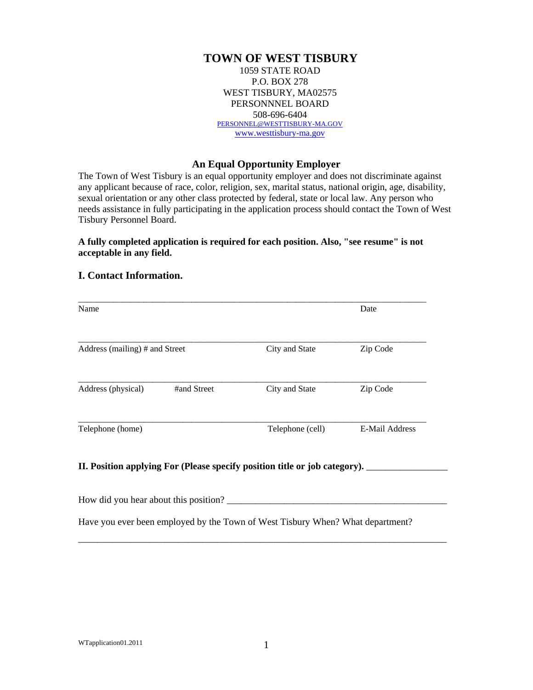# **TOWN OF WEST TISBURY**

1059 STATE ROAD P.O. BOX 278 WEST TISBURY, MA02575 PERSONNNEL BOARD 508-696-6404 PERSONNEL@WESTTISBURY-MA.GOV www.westtisbury-ma.gov

### **An Equal Opportunity Employer**

The Town of West Tisbury is an equal opportunity employer and does not discriminate against any applicant because of race, color, religion, sex, marital status, national origin, age, disability, sexual orientation or any other class protected by federal, state or local law. Any person who needs assistance in fully participating in the application process should contact the Town of West Tisbury Personnel Board.

### **A fully completed application is required for each position. Also, "see resume" is not acceptable in any field.**

### **I. Contact Information.**

| Name                                                                       |                  | Date                  |  |
|----------------------------------------------------------------------------|------------------|-----------------------|--|
| Address (mailing) # and Street                                             | City and State   | Zip Code              |  |
| #and Street<br>Address (physical)                                          | City and State   | Zip Code              |  |
| Telephone (home)                                                           | Telephone (cell) | <b>E-Mail Address</b> |  |
| II. Position applying For (Please specify position title or job category). |                  |                       |  |

Have you ever been employed by the Town of West Tisbury When? What department?

\_\_\_\_\_\_\_\_\_\_\_\_\_\_\_\_\_\_\_\_\_\_\_\_\_\_\_\_\_\_\_\_\_\_\_\_\_\_\_\_\_\_\_\_\_\_\_\_\_\_\_\_\_\_\_\_\_\_\_\_\_\_\_\_\_\_\_\_\_\_\_\_\_\_\_\_\_

How did you hear about this position? \_\_\_\_\_\_\_\_\_\_\_\_\_\_\_\_\_\_\_\_\_\_\_\_\_\_\_\_\_\_\_\_\_\_\_\_\_\_\_\_\_\_\_\_\_\_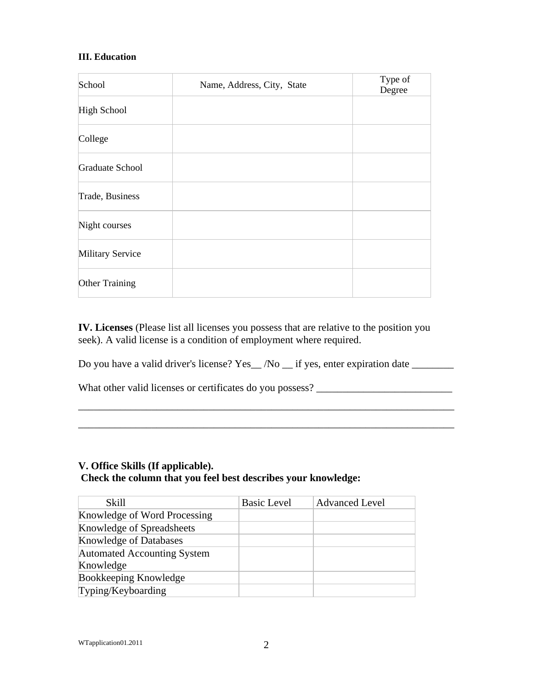## **III. Education**

| School           | Name, Address, City, State | Type of<br>Degree |
|------------------|----------------------------|-------------------|
| High School      |                            |                   |
| College          |                            |                   |
| Graduate School  |                            |                   |
| Trade, Business  |                            |                   |
| Night courses    |                            |                   |
| Military Service |                            |                   |
| Other Training   |                            |                   |

**IV. Licenses** (Please list all licenses you possess that are relative to the position you seek). A valid license is a condition of employment where required.

Do you have a valid driver's license? Yes\_/No \_\_ if yes, enter expiration date \_\_\_\_\_\_\_

\_\_\_\_\_\_\_\_\_\_\_\_\_\_\_\_\_\_\_\_\_\_\_\_\_\_\_\_\_\_\_\_\_\_\_\_\_\_\_\_\_\_\_\_\_\_\_\_\_\_\_\_\_\_\_\_\_\_\_\_\_\_\_\_\_\_\_\_\_\_\_\_

\_\_\_\_\_\_\_\_\_\_\_\_\_\_\_\_\_\_\_\_\_\_\_\_\_\_\_\_\_\_\_\_\_\_\_\_\_\_\_\_\_\_\_\_\_\_\_\_\_\_\_\_\_\_\_\_\_\_\_\_\_\_\_\_\_\_\_\_\_\_\_\_

What other valid licenses or certificates do you possess? \_\_\_\_\_\_\_\_\_\_\_\_\_\_\_\_\_\_\_\_\_\_\_

# **V. Office Skills (If applicable).**

## **Check the column that you feel best describes your knowledge:**

| Skill                              | <b>Basic Level</b> | <b>Advanced Level</b> |
|------------------------------------|--------------------|-----------------------|
| Knowledge of Word Processing       |                    |                       |
| Knowledge of Spreadsheets          |                    |                       |
| <b>Knowledge of Databases</b>      |                    |                       |
| <b>Automated Accounting System</b> |                    |                       |
| Knowledge                          |                    |                       |
| Bookkeeping Knowledge              |                    |                       |
| Typing/Keyboarding                 |                    |                       |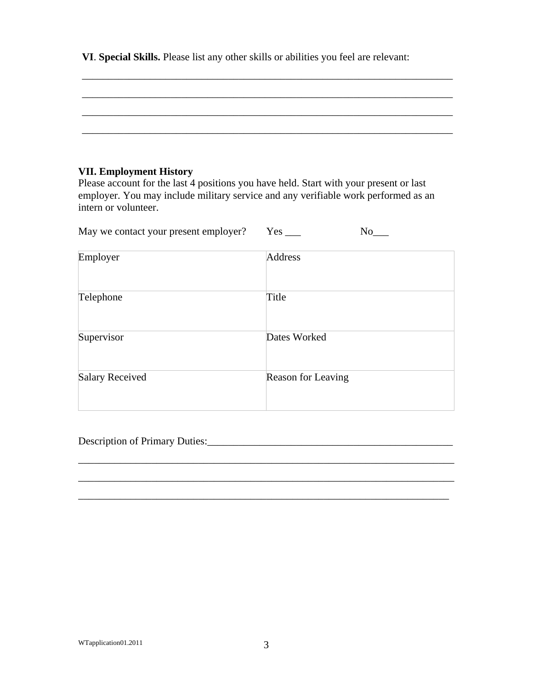**VI**. **Special Skills.** Please list any other skills or abilities you feel are relevant:

\_\_\_\_\_\_\_\_\_\_\_\_\_\_\_\_\_\_\_\_\_\_\_\_\_\_\_\_\_\_\_\_\_\_\_\_\_\_\_\_\_\_\_\_\_\_\_\_\_\_\_\_\_\_\_\_\_\_\_\_\_\_\_\_\_\_\_\_\_\_\_

\_\_\_\_\_\_\_\_\_\_\_\_\_\_\_\_\_\_\_\_\_\_\_\_\_\_\_\_\_\_\_\_\_\_\_\_\_\_\_\_\_\_\_\_\_\_\_\_\_\_\_\_\_\_\_\_\_\_\_\_\_\_\_\_\_\_\_\_\_\_\_

\_\_\_\_\_\_\_\_\_\_\_\_\_\_\_\_\_\_\_\_\_\_\_\_\_\_\_\_\_\_\_\_\_\_\_\_\_\_\_\_\_\_\_\_\_\_\_\_\_\_\_\_\_\_\_\_\_\_\_\_\_\_\_\_\_\_\_\_\_\_\_

## **VII. Employment History**

Please account for the last 4 positions you have held. Start with your present or last employer. You may include military service and any verifiable work performed as an intern or volunteer.

| May we contact your present employer? | Yes: | Nο |
|---------------------------------------|------|----|
|---------------------------------------|------|----|

| Employer               | Address            |
|------------------------|--------------------|
| Telephone              | Title              |
| Supervisor             | Dates Worked       |
| <b>Salary Received</b> | Reason for Leaving |

\_\_\_\_\_\_\_\_\_\_\_\_\_\_\_\_\_\_\_\_\_\_\_\_\_\_\_\_\_\_\_\_\_\_\_\_\_\_\_\_\_\_\_\_\_\_\_\_\_\_\_\_\_\_\_\_\_\_\_\_\_\_\_\_\_\_\_\_\_\_\_\_

\_\_\_\_\_\_\_\_\_\_\_\_\_\_\_\_\_\_\_\_\_\_\_\_\_\_\_\_\_\_\_\_\_\_\_\_\_\_\_\_\_\_\_\_\_\_\_\_\_\_\_\_\_\_\_\_\_\_\_\_\_\_\_\_\_\_\_\_\_\_\_

 $\_$  ,  $\_$  ,  $\_$  ,  $\_$  ,  $\_$  ,  $\_$  ,  $\_$  ,  $\_$  ,  $\_$  ,  $\_$  ,  $\_$  ,  $\_$  ,  $\_$  ,  $\_$  ,  $\_$  ,  $\_$  ,  $\_$  ,  $\_$  ,  $\_$  ,  $\_$  ,  $\_$  ,  $\_$  ,  $\_$  ,  $\_$  ,  $\_$  ,  $\_$  ,  $\_$  ,  $\_$  ,  $\_$  ,  $\_$  ,  $\_$  ,  $\_$  ,  $\_$  ,  $\_$  ,  $\_$  ,  $\_$  ,  $\_$  ,

Description of Primary Duties: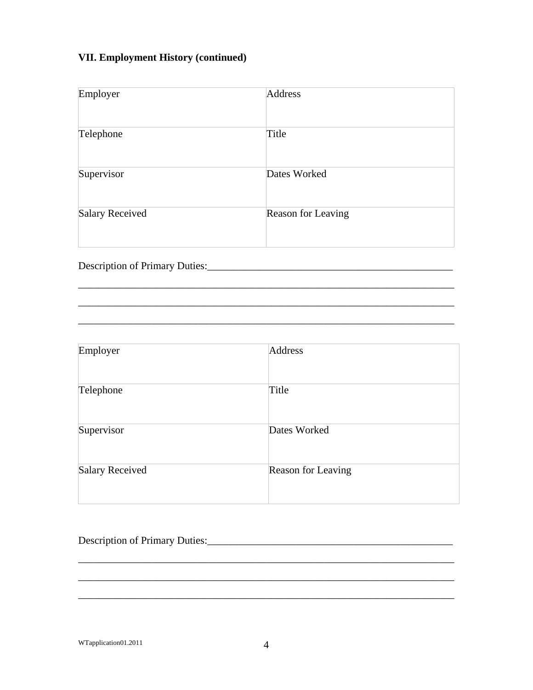# **VII. Employment History (continued)**

| Employer        | Address            |
|-----------------|--------------------|
| Telephone       | Title              |
| Supervisor      | Dates Worked       |
| Salary Received | Reason for Leaving |

\_\_\_\_\_\_\_\_\_\_\_\_\_\_\_\_\_\_\_\_\_\_\_\_\_\_\_\_\_\_\_\_\_\_\_\_\_\_\_\_\_\_\_\_\_\_\_\_\_\_\_\_\_\_\_\_\_\_\_\_\_\_\_\_\_\_\_\_\_\_\_\_

\_\_\_\_\_\_\_\_\_\_\_\_\_\_\_\_\_\_\_\_\_\_\_\_\_\_\_\_\_\_\_\_\_\_\_\_\_\_\_\_\_\_\_\_\_\_\_\_\_\_\_\_\_\_\_\_\_\_\_\_\_\_\_\_\_\_\_\_\_\_\_\_

\_\_\_\_\_\_\_\_\_\_\_\_\_\_\_\_\_\_\_\_\_\_\_\_\_\_\_\_\_\_\_\_\_\_\_\_\_\_\_\_\_\_\_\_\_\_\_\_\_\_\_\_\_\_\_\_\_\_\_\_\_\_\_\_\_\_\_\_\_\_\_\_

Description of Primary Duties:\_\_\_\_\_\_\_\_\_\_\_\_\_\_\_\_\_\_\_\_\_\_\_\_\_\_\_\_\_\_\_\_\_\_\_\_\_\_\_\_\_\_\_\_\_\_\_

| Employer        | Address            |
|-----------------|--------------------|
| Telephone       | Title              |
| Supervisor      | Dates Worked       |
| Salary Received | Reason for Leaving |

# Description of Primary Duties:\_\_\_\_\_\_\_\_\_\_\_\_\_\_\_\_\_\_\_\_\_\_\_\_\_\_\_\_\_\_\_\_\_\_\_\_\_\_\_\_\_\_\_\_\_\_\_

\_\_\_\_\_\_\_\_\_\_\_\_\_\_\_\_\_\_\_\_\_\_\_\_\_\_\_\_\_\_\_\_\_\_\_\_\_\_\_\_\_\_\_\_\_\_\_\_\_\_\_\_\_\_\_\_\_\_\_\_\_\_\_\_\_\_\_\_\_\_\_\_

\_\_\_\_\_\_\_\_\_\_\_\_\_\_\_\_\_\_\_\_\_\_\_\_\_\_\_\_\_\_\_\_\_\_\_\_\_\_\_\_\_\_\_\_\_\_\_\_\_\_\_\_\_\_\_\_\_\_\_\_\_\_\_\_\_\_\_\_\_\_\_\_

 $\overline{\phantom{a}}$  , and the contribution of the contribution of the contribution of the contribution of the contribution of  $\overline{\phantom{a}}$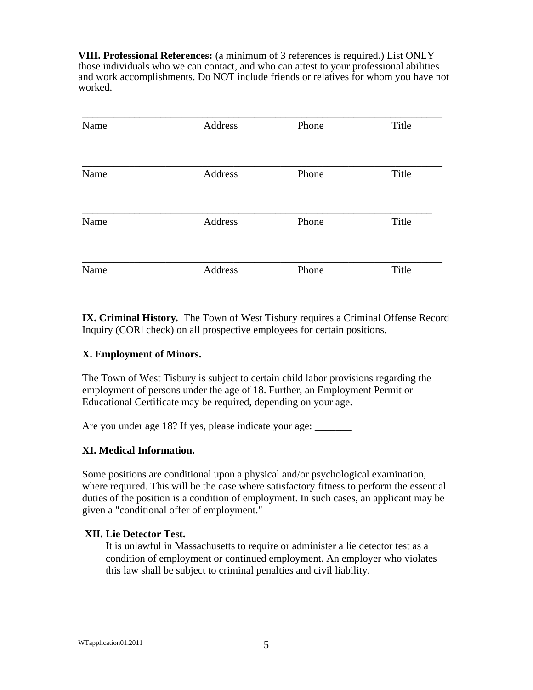**VIII. Professional References:** (a minimum of 3 references is required.) List ONLY those individuals who we can contact, and who can attest to your professional abilities and work accomplishments. Do NOT include friends or relatives for whom you have not worked.

| Name | Address | Phone | Title |
|------|---------|-------|-------|
| Name | Address | Phone | Title |
| Name | Address | Phone | Title |
| Name | Address | Phone | Title |

**IX. Criminal History***.* The Town of West Tisbury requires a Criminal Offense Record Inquiry (CORl check) on all prospective employees for certain positions.

## **X. Employment of Minors.**

The Town of West Tisbury is subject to certain child labor provisions regarding the employment of persons under the age of 18. Further, an Employment Permit or Educational Certificate may be required, depending on your age.

Are you under age 18? If yes, please indicate your age:

# **XI. Medical Information.**

Some positions are conditional upon a physical and/or psychological examination, where required. This will be the case where satisfactory fitness to perform the essential duties of the position is a condition of employment. In such cases, an applicant may be given a "conditional offer of employment."

## **XII***.* **Lie Detector Test.**

It is unlawful in Massachusetts to require or administer a lie detector test as a condition of employment or continued employment. An employer who violates this law shall be subject to criminal penalties and civil liability.